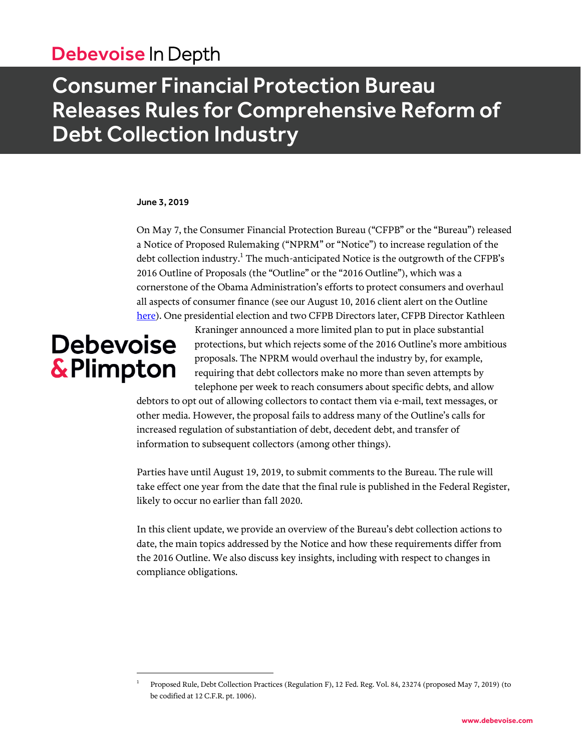# Debevoise In Depth

# Consumer Financial Protection Bureau Releases Rules for Comprehensive Reform of Debt Collection Industry

#### June 3, 2019

On May 7, the Consumer Financial Protection Bureau ("CFPB" or the "Bureau") released a Notice of Proposed Rulemaking ("NPRM" or "Notice") to increase regulation of the debt collection industry.<sup>1</sup> The much-anticipated Notice is the outgrowth of the CFPB's 2016 Outline of Proposals (the "Outline" or the "2016 Outline"), which was a cornerstone of the Obama Administration's efforts to protect consumers and overhaul all aspects of consumer finance (see our August 10, 2016 client alert on the Outline [here\)](https://www.debevoise.com/~/media/files/insights/publications/2016/08/20160810_consumer_financial_protection_bureau_outlines_plan_for_comprehensive_reform_of_debt_collection_industry.pdf). One presidential election and two CFPB Directors later, CFPB Director Kathleen

# **Debevoise** & Plimpton

 $\overline{a}$ 

Kraninger announced a more limited plan to put in place substantial protections, but which rejects some of the 2016 Outline's more ambitious proposals. The NPRM would overhaul the industry by, for example, requiring that debt collectors make no more than seven attempts by telephone per week to reach consumers about specific debts, and allow

debtors to opt out of allowing collectors to contact them via e-mail, text messages, or other media. However, the proposal fails to address many of the Outline's calls for increased regulation of substantiation of debt, decedent debt, and transfer of information to subsequent collectors (among other things).

Parties have until August 19, 2019, to submit comments to the Bureau. The rule will take effect one year from the date that the final rule is published in the Federal Register, likely to occur no earlier than fall 2020.

In this client update, we provide an overview of the Bureau's debt collection actions to date, the main topics addressed by the Notice and how these requirements differ from the 2016 Outline. We also discuss key insights, including with respect to changes in compliance obligations.

<sup>1</sup> Proposed Rule, Debt Collection Practices (Regulation F), 12 Fed. Reg. Vol. 84, 23274 (proposed May 7, 2019) (to be codified at 12 C.F.R. pt. 1006).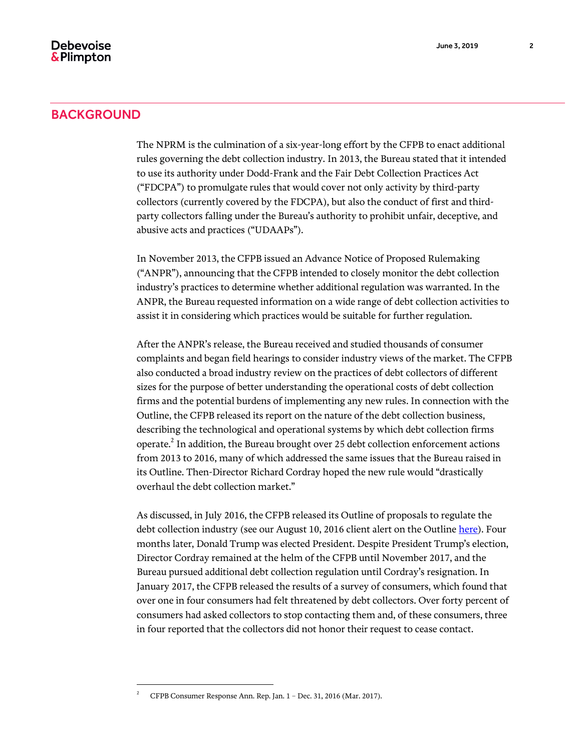The NPRM is the culmination of a six-year-long effort by the CFPB to enact additional rules governing the debt collection industry. In 2013, the Bureau stated that it intended to use its authority under Dodd-Frank and the Fair Debt Collection Practices Act ("FDCPA") to promulgate rules that would cover not only activity by third-party collectors (currently covered by the FDCPA), but also the conduct of first and thirdparty collectors falling under the Bureau's authority to prohibit unfair, deceptive, and abusive acts and practices ("UDAAPs").

In November 2013, the CFPB issued an Advance Notice of Proposed Rulemaking ("ANPR"), announcing that the CFPB intended to closely monitor the debt collection industry's practices to determine whether additional regulation was warranted. In the ANPR, the Bureau requested information on a wide range of debt collection activities to assist it in considering which practices would be suitable for further regulation.

After the ANPR's release, the Bureau received and studied thousands of consumer complaints and began field hearings to consider industry views of the market. The CFPB also conducted a broad industry review on the practices of debt collectors of different sizes for the purpose of better understanding the operational costs of debt collection firms and the potential burdens of implementing any new rules. In connection with the Outline, the CFPB released its report on the nature of the debt collection business, describing the technological and operational systems by which debt collection firms operate. $^2$  In addition, the Bureau brought over 25 debt collection enforcement actions from 2013 to 2016, many of which addressed the same issues that the Bureau raised in its Outline. Then-Director Richard Cordray hoped the new rule would "drastically overhaul the debt collection market."

As discussed, in July 2016, the CFPB released its Outline of proposals to regulate the debt collection industry (see our August 10, 2016 client alert on the Outlin[e here\)](https://www.debevoise.com/~/media/files/insights/publications/2016/08/20160810_consumer_financial_protection_bureau_outlines_plan_for_comprehensive_reform_of_debt_collection_industry.pdf). Four months later, Donald Trump was elected President. Despite President Trump's election, Director Cordray remained at the helm of the CFPB until November 2017, and the Bureau pursued additional debt collection regulation until Cordray's resignation. In January 2017, the CFPB released the results of a survey of consumers, which found that over one in four consumers had felt threatened by debt collectors. Over forty percent of consumers had asked collectors to stop contacting them and, of these consumers, three in four reported that the collectors did not honor their request to cease contact.

 $\overline{a}$ 

<sup>2</sup> CFPB Consumer Response Ann. Rep. Jan. 1 – Dec. 31, 2016 (Mar. 2017).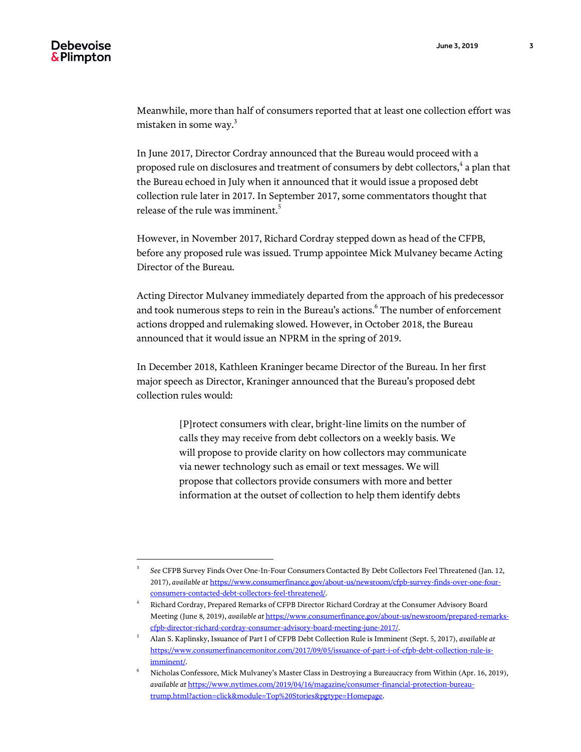$\overline{a}$ 

Meanwhile, more than half of consumers reported that at least one collection effort was mistaken in some way. $^3$ 

In June 2017, Director Cordray announced that the Bureau would proceed with a proposed rule on disclosures and treatment of consumers by debt collectors, $\rm ^4$  a plan that the Bureau echoed in July when it announced that it would issue a proposed debt collection rule later in 2017. In September 2017, some commentators thought that release of the rule was imminent.<sup>5</sup>

However, in November 2017, Richard Cordray stepped down as head of the CFPB, before any proposed rule was issued. Trump appointee Mick Mulvaney became Acting Director of the Bureau.

Acting Director Mulvaney immediately departed from the approach of his predecessor and took numerous steps to rein in the Bureau's actions. $^6$  The number of enforcement actions dropped and rulemaking slowed. However, in October 2018, the Bureau announced that it would issue an NPRM in the spring of 2019.

In December 2018, Kathleen Kraninger became Director of the Bureau. In her first major speech as Director, Kraninger announced that the Bureau's proposed debt collection rules would:

> [P]rotect consumers with clear, bright-line limits on the number of calls they may receive from debt collectors on a weekly basis. We will propose to provide clarity on how collectors may communicate via newer technology such as email or text messages. We will propose that collectors provide consumers with more and better information at the outset of collection to help them identify debts

<sup>3</sup> *See* CFPB Survey Finds Over One-In-Four Consumers Contacted By Debt Collectors Feel Threatened (Jan. 12, 2017), *available at* [https://www.consumerfinance.gov/about-us/newsroom/cfpb-survey-finds-over-one-four](https://www.consumerfinance.gov/about-us/newsroom/cfpb-survey-finds-over-one-four-consumers-contacted-debt-collectors-feel-threatened/)[consumers-contacted-debt-collectors-feel-threatened/.](https://www.consumerfinance.gov/about-us/newsroom/cfpb-survey-finds-over-one-four-consumers-contacted-debt-collectors-feel-threatened/) 

<sup>4</sup> Richard Cordray, Prepared Remarks of CFPB Director Richard Cordray at the Consumer Advisory Board Meeting (June 8, 2019), *available at* [https://www.consumerfinance.gov/about-us/newsroom/prepared-remarks](https://www.consumerfinance.gov/about-us/newsroom/prepared-remarks-cfpb-director-richard-cordray-consumer-advisory-board-meeting-june-2017/)[cfpb-director-richard-cordray-consumer-advisory-board-meeting-june-2017/.](https://www.consumerfinance.gov/about-us/newsroom/prepared-remarks-cfpb-director-richard-cordray-consumer-advisory-board-meeting-june-2017/) 

<sup>5</sup> Alan S. Kaplinsky, Issuance of Part I of CFPB Debt Collection Rule is Imminent (Sept. 5, 2017), *available at* [https://www.consumerfinancemonitor.com/2017/09/05/issuance-of-part-i-of-cfpb-debt-collection-rule-is](https://www.consumerfinancemonitor.com/2017/09/05/issuance-of-part-i-of-cfpb-debt-collection-rule-is-imminent/)[imminent/.](https://www.consumerfinancemonitor.com/2017/09/05/issuance-of-part-i-of-cfpb-debt-collection-rule-is-imminent/) 

<sup>6</sup> Nicholas Confessore, Mick Mulvaney's Master Class in Destroying a Bureaucracy from Within (Apr. 16, 2019), *available at* [https://www.nytimes.com/2019/04/16/magazine/consumer-financial-protection-bureau](https://www.nytimes.com/2019/04/16/magazine/consumer-financial-protection-bureau-trump.html?action=click&module=Top%20Stories&pgtype=Homepage)[trump.html?action=click&module=Top%20Stories&pgtype=Homepage.](https://www.nytimes.com/2019/04/16/magazine/consumer-financial-protection-bureau-trump.html?action=click&module=Top%20Stories&pgtype=Homepage)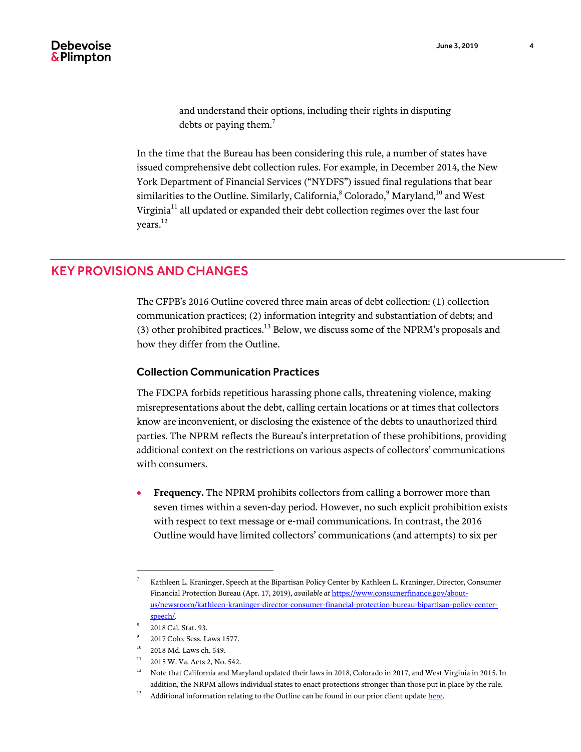and understand their options, including their rights in disputing debts or paying them.<sup>7</sup>

In the time that the Bureau has been considering this rule, a number of states have issued comprehensive debt collection rules. For example, in December 2014, the New York Department of Financial Services ("NYDFS") issued final regulations that bear similarities to the Outline. Similarly, California, $^8$  Colorado, $^9$  Maryland, $^{10}$  and West Virginia $^{11}$  all updated or expanded their debt collection regimes over the last four years. $^{12}$ 

# KEY PROVISIONS AND CHANGES

The CFPB's 2016 Outline covered three main areas of debt collection: (1) collection communication practices; (2) information integrity and substantiation of debts; and (3) other prohibited practices.<sup>13</sup> Below, we discuss some of the NPRM's proposals and how they differ from the Outline.

### Collection Communication Practices

The FDCPA forbids repetitious harassing phone calls, threatening violence, making misrepresentations about the debt, calling certain locations or at times that collectors know are inconvenient, or disclosing the existence of the debts to unauthorized third parties. The NPRM reflects the Bureau's interpretation of these prohibitions, providing additional context on the restrictions on various aspects of collectors' communications with consumers.

 **Frequency.** The NPRM prohibits collectors from calling a borrower more than seven times within a seven-day period. However, no such explicit prohibition exists with respect to text message or e-mail communications. In contrast, the 2016 Outline would have limited collectors' communications (and attempts) to six per

 $\overline{a}$ 

<sup>7</sup> Kathleen L. Kraninger, Speech at the Bipartisan Policy Center by Kathleen L. Kraninger, Director, Consumer Financial Protection Bureau (Apr. 17, 2019), *available at* [https://www.consumerfinance.gov/about](https://www.consumerfinance.gov/about-us/newsroom/kathleen-kraninger-director-consumer-financial-protection-bureau-bipartisan-policy-center-speech/)[us/newsroom/kathleen-kraninger-director-consumer-financial-protection-bureau-bipartisan-policy-center](https://www.consumerfinance.gov/about-us/newsroom/kathleen-kraninger-director-consumer-financial-protection-bureau-bipartisan-policy-center-speech/)[speech/.](https://www.consumerfinance.gov/about-us/newsroom/kathleen-kraninger-director-consumer-financial-protection-bureau-bipartisan-policy-center-speech/)

<sup>8</sup> 2018 Cal. Stat. 93.

<sup>9</sup> 2017 Colo. Sess. Laws 1577.

 $10$  2018 Md. Laws ch. 549.

<sup>&</sup>lt;sup>11</sup> 2015 W. Va. Acts 2, No. 542.

 $12$  Note that California and Maryland updated their laws in 2018, Colorado in 2017, and West Virginia in 2015. In addition, the NRPM allows individual states to enact protections stronger than those put in place by the rule.

 $^{13}$  Additional information relating to the Outline can be found in our prior client updat[e here.](https://www.debevoise.com/~/media/files/insights/publications/2016/08/20160810_consumer_financial_protection_bureau_outlines_plan_for_comprehensive_reform_of_debt_collection_industry.pdf)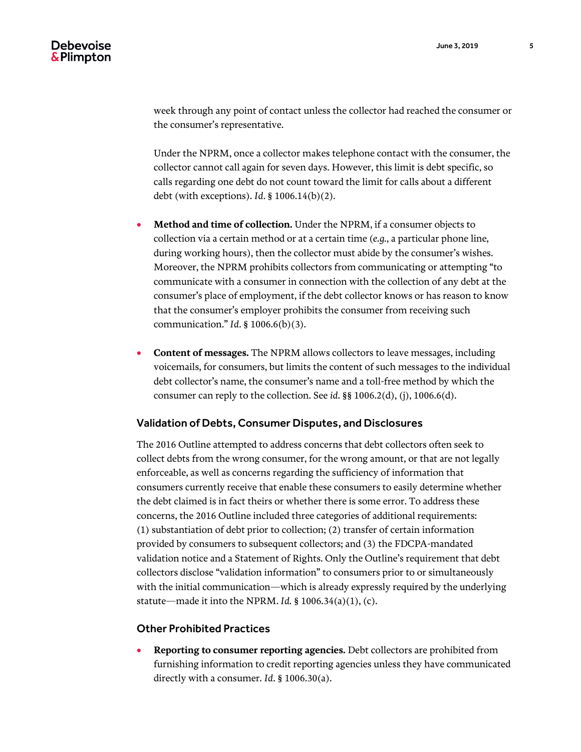week through any point of contact unless the collector had reached the consumer or the consumer's representative.

Under the NPRM, once a collector makes telephone contact with the consumer, the collector cannot call again for seven days. However, this limit is debt specific, so calls regarding one debt do not count toward the limit for calls about a different debt (with exceptions). *Id*. § 1006.14(b)(2).

- **Method and time of collection.** Under the NPRM, if a consumer objects to collection via a certain method or at a certain time (*e.g.*, a particular phone line, during working hours), then the collector must abide by the consumer's wishes. Moreover, the NPRM prohibits collectors from communicating or attempting "to communicate with a consumer in connection with the collection of any debt at the consumer's place of employment, if the debt collector knows or has reason to know that the consumer's employer prohibits the consumer from receiving such communication." *Id*. § 1006.6(b)(3).
- **Content of messages.** The NPRM allows collectors to leave messages, including voicemails, for consumers, but limits the content of such messages to the individual debt collector's name, the consumer's name and a toll-free method by which the consumer can reply to the collection. See *id*. §§ 1006.2(d), (j), 1006.6(d).

#### Validation of Debts, Consumer Disputes, and Disclosures

The 2016 Outline attempted to address concerns that debt collectors often seek to collect debts from the wrong consumer, for the wrong amount, or that are not legally enforceable, as well as concerns regarding the sufficiency of information that consumers currently receive that enable these consumers to easily determine whether the debt claimed is in fact theirs or whether there is some error. To address these concerns, the 2016 Outline included three categories of additional requirements: (1) substantiation of debt prior to collection; (2) transfer of certain information provided by consumers to subsequent collectors; and (3) the FDCPA-mandated validation notice and a Statement of Rights. Only the Outline's requirement that debt collectors disclose "validation information" to consumers prior to or simultaneously with the initial communication—which is already expressly required by the underlying statute—made it into the NPRM. *Id.* § 1006.34(a)(1), (c).

### Other Prohibited Practices

 **Reporting to consumer reporting agencies.** Debt collectors are prohibited from furnishing information to credit reporting agencies unless they have communicated directly with a consumer. *Id*. § 1006.30(a).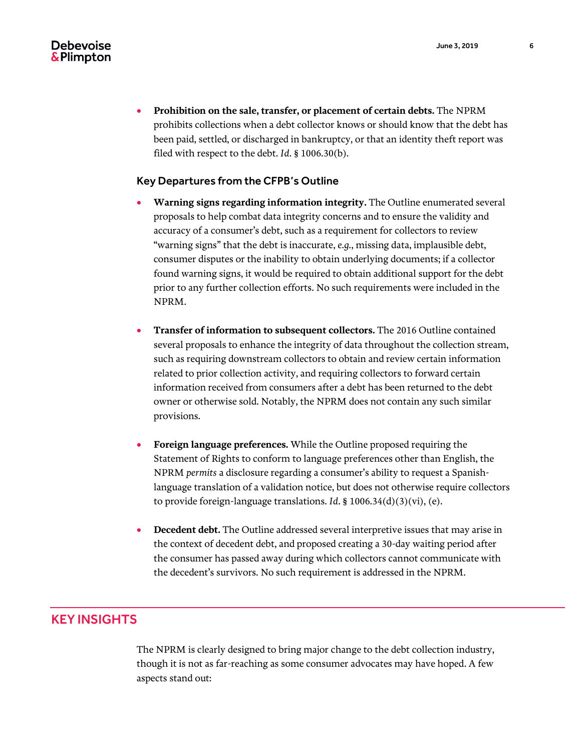**Prohibition on the sale, transfer, or placement of certain debts.** The NPRM prohibits collections when a debt collector knows or should know that the debt has been paid, settled, or discharged in bankruptcy, or that an identity theft report was filed with respect to the debt. *Id*. § 1006.30(b).

### Key Departures from the CFPB's Outline

- **Warning signs regarding information integrity.** The Outline enumerated several proposals to help combat data integrity concerns and to ensure the validity and accuracy of a consumer's debt, such as a requirement for collectors to review "warning signs" that the debt is inaccurate, *e.g.*, missing data, implausible debt, consumer disputes or the inability to obtain underlying documents; if a collector found warning signs, it would be required to obtain additional support for the debt prior to any further collection efforts. No such requirements were included in the NPRM.
- **Transfer of information to subsequent collectors.** The 2016 Outline contained several proposals to enhance the integrity of data throughout the collection stream, such as requiring downstream collectors to obtain and review certain information related to prior collection activity, and requiring collectors to forward certain information received from consumers after a debt has been returned to the debt owner or otherwise sold. Notably, the NPRM does not contain any such similar provisions.
- **Foreign language preferences.** While the Outline proposed requiring the Statement of Rights to conform to language preferences other than English, the NPRM *permits* a disclosure regarding a consumer's ability to request a Spanishlanguage translation of a validation notice, but does not otherwise require collectors to provide foreign-language translations. *Id*. § 1006.34(d)(3)(vi), (e).
- **Decedent debt.** The Outline addressed several interpretive issues that may arise in the context of decedent debt, and proposed creating a 30-day waiting period after the consumer has passed away during which collectors cannot communicate with the decedent's survivors. No such requirement is addressed in the NPRM.

# KEY INSIGHTS

The NPRM is clearly designed to bring major change to the debt collection industry, though it is not as far-reaching as some consumer advocates may have hoped. A few aspects stand out: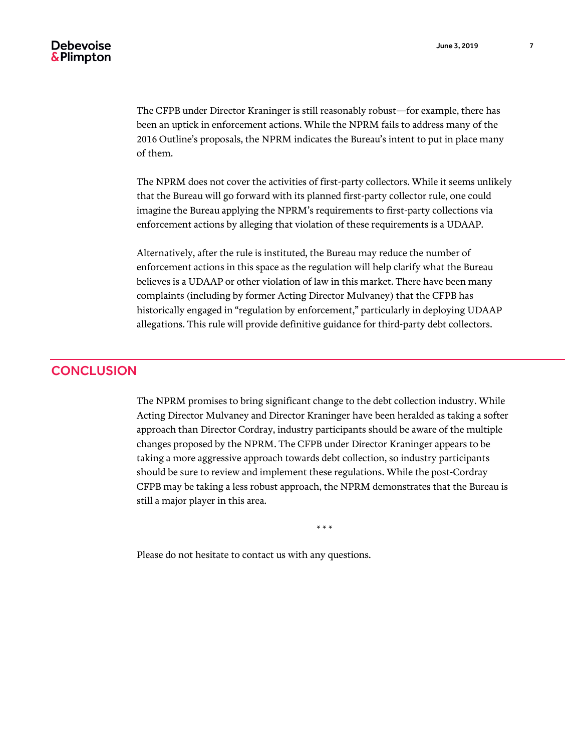The CFPB under Director Kraninger is still reasonably robust—for example, there has been an uptick in enforcement actions. While the NPRM fails to address many of the 2016 Outline's proposals, the NPRM indicates the Bureau's intent to put in place many of them.

The NPRM does not cover the activities of first-party collectors. While it seems unlikely that the Bureau will go forward with its planned first-party collector rule, one could imagine the Bureau applying the NPRM's requirements to first-party collections via enforcement actions by alleging that violation of these requirements is a UDAAP.

Alternatively, after the rule is instituted, the Bureau may reduce the number of enforcement actions in this space as the regulation will help clarify what the Bureau believes is a UDAAP or other violation of law in this market. There have been many complaints (including by former Acting Director Mulvaney) that the CFPB has historically engaged in "regulation by enforcement," particularly in deploying UDAAP allegations. This rule will provide definitive guidance for third-party debt collectors.

## **CONCLUSION**

The NPRM promises to bring significant change to the debt collection industry. While Acting Director Mulvaney and Director Kraninger have been heralded as taking a softer approach than Director Cordray, industry participants should be aware of the multiple changes proposed by the NPRM. The CFPB under Director Kraninger appears to be taking a more aggressive approach towards debt collection, so industry participants should be sure to review and implement these regulations. While the post-Cordray CFPB may be taking a less robust approach, the NPRM demonstrates that the Bureau is still a major player in this area.

\* \* \*

Please do not hesitate to contact us with any questions.